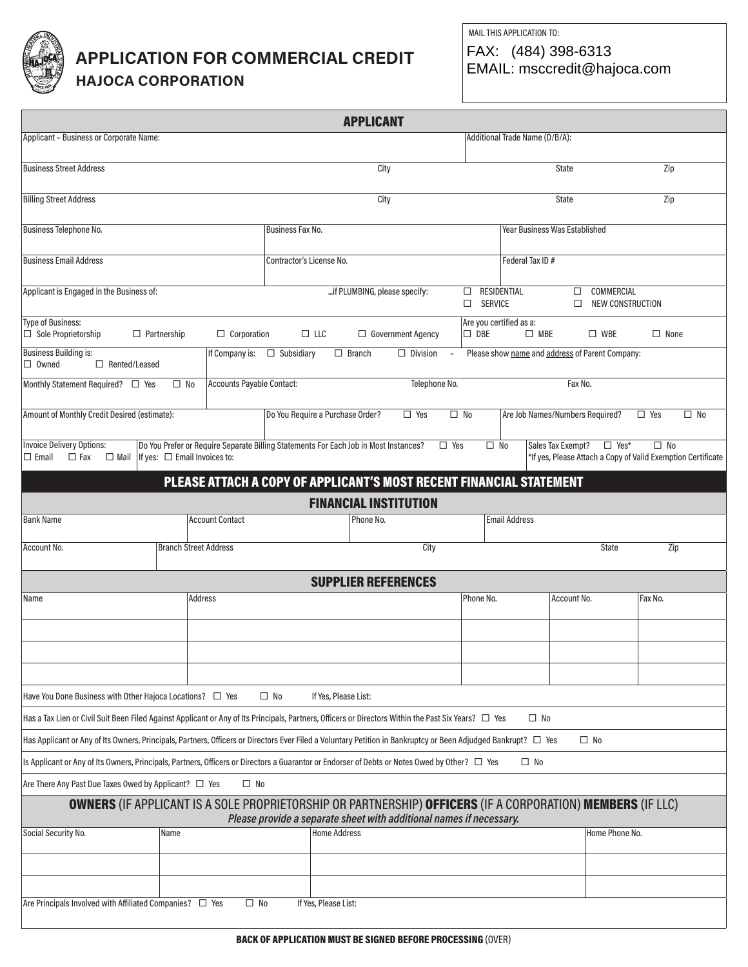

## **APPLICATION FOR COMMERCIAL CREDIT**

**HAJOCA CORPORATION**

MAIL THIS APPLICATION TO: FAX: (484) 398-6313 EMAIL: msccredit@hajoca.com

|                                                                                                                                                                                     |                                      |                               |                                                                                      | <b>APPLICANT</b>             |                          |                                |                |                                                 |                   |                                |                                                                              |              |
|-------------------------------------------------------------------------------------------------------------------------------------------------------------------------------------|--------------------------------------|-------------------------------|--------------------------------------------------------------------------------------|------------------------------|--------------------------|--------------------------------|----------------|-------------------------------------------------|-------------------|--------------------------------|------------------------------------------------------------------------------|--------------|
| Applicant - Business or Corporate Name:                                                                                                                                             |                                      |                               |                                                                                      |                              |                          | Additional Trade Name (D/B/A): |                |                                                 |                   |                                |                                                                              |              |
| <b>Business Street Address</b>                                                                                                                                                      |                                      |                               |                                                                                      | City                         |                          |                                |                |                                                 | <b>State</b>      |                                | Zip                                                                          |              |
| <b>Billing Street Address</b>                                                                                                                                                       |                                      |                               |                                                                                      | City                         |                          |                                |                |                                                 | <b>State</b>      |                                | Zip                                                                          |              |
| Business Telephone No.                                                                                                                                                              |                                      |                               | Business Fax No.                                                                     |                              |                          |                                |                | Year Business Was Established                   |                   |                                |                                                                              |              |
| <b>Business Email Address</b>                                                                                                                                                       |                                      |                               | Contractor's License No.                                                             |                              |                          |                                |                | Federal Tax ID#                                 |                   |                                |                                                                              |              |
|                                                                                                                                                                                     |                                      |                               |                                                                                      |                              |                          |                                |                |                                                 |                   |                                |                                                                              |              |
| Applicant is Engaged in the Business of:                                                                                                                                            |                                      |                               |                                                                                      | if PLUMBING, please specify: |                          | □<br>□                         | <b>SERVICE</b> | <b>RESIDENTIAL</b>                              | $\Box$<br>□       | COMMERCIAL<br>NEW CONSTRUCTION |                                                                              |              |
| <b>Type of Business:</b><br>$\Box$ Sole Proprietorship<br>$\Box$ Partnership                                                                                                        |                                      | $\Box$ Corporation            | $\Box$ LLC                                                                           |                              | $\Box$ Government Agency |                                | $\Box$ DBE     | Are you certified as a:<br>$\square$ MBE        |                   | $\square$ WBE                  | $\Box$ None                                                                  |              |
| <b>Business Building is:</b><br>$\Box$ Owned<br>$\Box$ Rented/Leased                                                                                                                |                                      | If Company is:                | $\Box$ Subsidiary                                                                    | $\Box$ Branch                | $\Box$ Division          | $\overline{\phantom{a}}$       |                | Please show name and address of Parent Company: |                   |                                |                                                                              |              |
| Monthly Statement Required?<br><u>I</u> Yes                                                                                                                                         | $\square$ No                         | Accounts Payable Contact:     |                                                                                      |                              | Telephone No.            |                                |                |                                                 | Fax No.           |                                |                                                                              |              |
| Amount of Monthly Credit Desired (estimate):                                                                                                                                        |                                      |                               | Do You Require a Purchase Order?                                                     |                              | $\Box$ Yes               | $\square$ No                   |                | Are Job Names/Numbers Required?                 |                   |                                | $\Box$ Yes                                                                   | $\square$ No |
| Invoice Delivery Options:<br>$\Box$ Email<br>$\Box$ Fax<br>$\Box$ Mail                                                                                                              | If yes: $\square$ Email Invoices to: |                               | Do You Prefer or Require Separate Billing Statements For Each Job in Most Instances? |                              |                          | $\Box$ Yes                     | $\square$ No   |                                                 | Sales Tax Exempt? | $\square$ Yes*                 | $\square$ No<br>*If yes, Please Attach a Copy of Valid Exemption Certificate |              |
|                                                                                                                                                                                     |                                      |                               | PLEASE ATTACH A COPY OF APPLICANT'S MOST RECENT FINANCIAL STATEMENT                  |                              |                          |                                |                |                                                 |                   |                                |                                                                              |              |
|                                                                                                                                                                                     |                                      |                               |                                                                                      | <b>FINANCIAL INSTITUTION</b> |                          |                                |                |                                                 |                   |                                |                                                                              |              |
| <b>Bank Name</b>                                                                                                                                                                    |                                      | <b>Account Contact</b>        |                                                                                      | Phone No.                    |                          |                                |                | <b>Email Address</b>                            |                   |                                |                                                                              |              |
| Account No.                                                                                                                                                                         | Branch Street Address                |                               |                                                                                      |                              | City                     |                                |                |                                                 |                   | <b>State</b>                   | Zip                                                                          |              |
|                                                                                                                                                                                     |                                      |                               |                                                                                      | <b>SUPPLIER REFERENCES</b>   |                          |                                |                |                                                 |                   |                                |                                                                              |              |
| Name                                                                                                                                                                                | Address                              |                               |                                                                                      |                              |                          |                                | Phone No.      |                                                 | Account No.       |                                | Fax No.                                                                      |              |
|                                                                                                                                                                                     |                                      |                               |                                                                                      |                              |                          |                                |                |                                                 |                   |                                |                                                                              |              |
|                                                                                                                                                                                     |                                      |                               |                                                                                      |                              |                          |                                |                |                                                 |                   |                                |                                                                              |              |
|                                                                                                                                                                                     |                                      |                               |                                                                                      |                              |                          |                                |                |                                                 |                   |                                |                                                                              |              |
| Have You Done Business with Other Hajoca Locations? □ Yes<br>$\Box$ No<br>If Yes, Please List:                                                                                      |                                      |                               |                                                                                      |                              |                          |                                |                |                                                 |                   |                                |                                                                              |              |
| Has a Tax Lien or Civil Suit Been Filed Against Applicant or Any of Its Principals, Partners, Officers or Directors Within the Past Six Years? $\Box$ Yes<br>$\square$ No           |                                      |                               |                                                                                      |                              |                          |                                |                |                                                 |                   |                                |                                                                              |              |
| Has Applicant or Any of Its Owners, Principals, Partners, Officers or Directors Ever Filed a Voluntary Petition in Bankruptcy or Been Adjudged Bankrupt? $\Box$ Yes<br>$\square$ No |                                      |                               |                                                                                      |                              |                          |                                |                |                                                 |                   |                                |                                                                              |              |
| Is Applicant or Any of Its Owners, Principals, Partners, Officers or Directors a Guarantor or Endorser of Debts or Notes Owed by Other? $\Box$ Yes<br>$\square$ No                  |                                      |                               |                                                                                      |                              |                          |                                |                |                                                 |                   |                                |                                                                              |              |
| $ $ Are There Any Past Due Taxes Owed by Applicant? $\Box$ Yes                                                                                                                      |                                      | $\square$ No                  |                                                                                      |                              |                          |                                |                |                                                 |                   |                                |                                                                              |              |
| <b>OWNERS</b> (IF APPLICANT IS A SOLE PROPRIETORSHIP OR PARTNERSHIP) OFFICERS (IF A CORPORATION) MEMBERS (IF LLC)                                                                   |                                      |                               | Please provide a separate sheet with additional names if necessary.                  |                              |                          |                                |                |                                                 |                   |                                |                                                                              |              |
| Social Security No.                                                                                                                                                                 | Name                                 |                               |                                                                                      | <b>Home Address</b>          |                          |                                |                |                                                 |                   | Home Phone No.                 |                                                                              |              |
|                                                                                                                                                                                     |                                      |                               |                                                                                      |                              |                          |                                |                |                                                 |                   |                                |                                                                              |              |
|                                                                                                                                                                                     |                                      |                               |                                                                                      |                              |                          |                                |                |                                                 |                   |                                |                                                                              |              |
| Are Principals Involved with Affiliated Companies?                                                                                                                                  |                                      | $\square$ No<br>$\square$ Yes | If Yes, Please List:                                                                 |                              |                          |                                |                |                                                 |                   |                                |                                                                              |              |